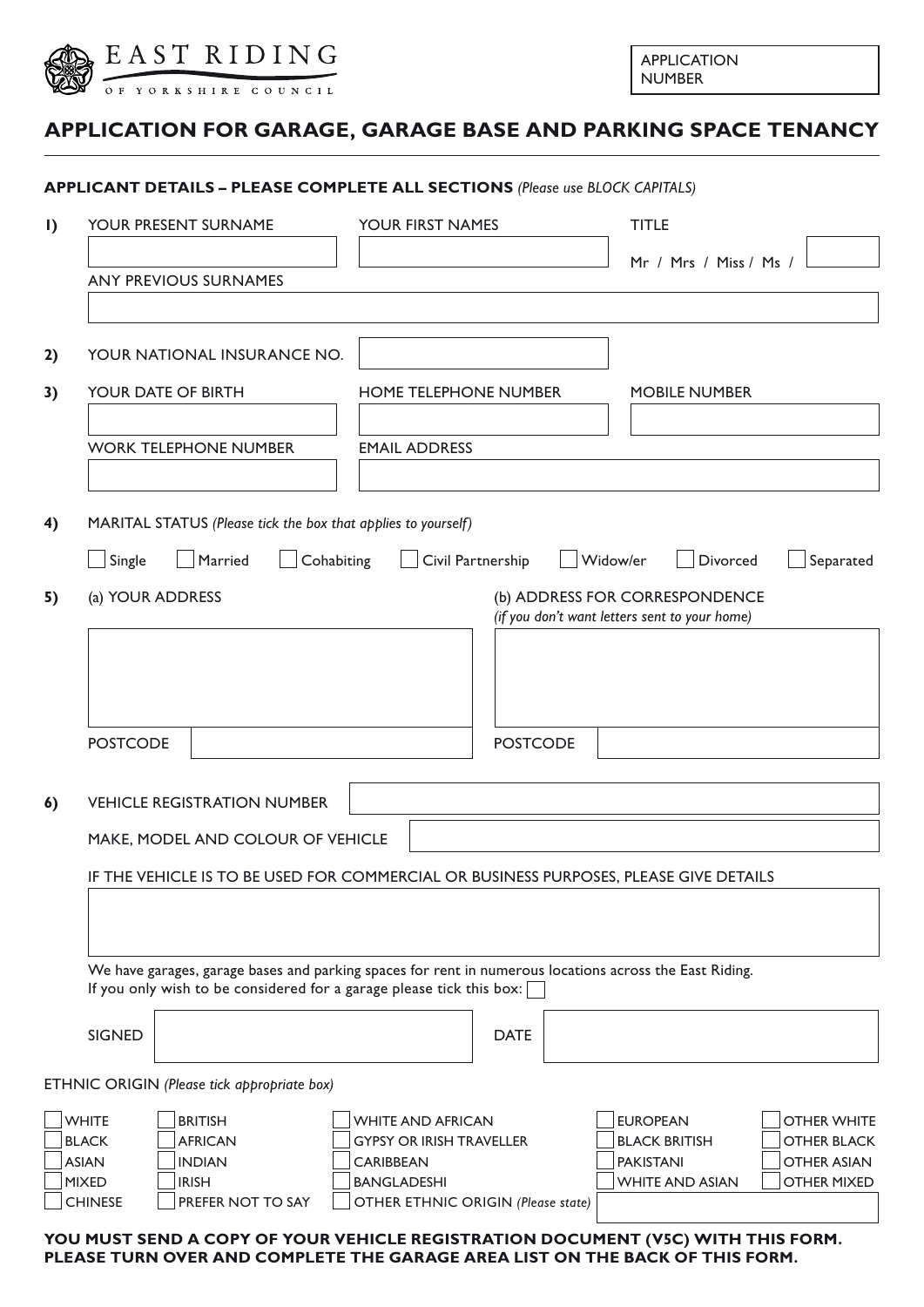

| <b>APPLICATION</b> |
|--------------------|
| <b>NUMBER</b>      |

## **APPLICATION FOR GARAGE, GARAGE BASE AND PARKING SPACE TENANCY**

|                                                              | YOUR PRESENT SURNAME                                                                                                                                                            |                                                                                                       | YOUR FIRST NAMES             |  |                                                                                                         | <b>TITLE</b>                                                                         |  |  |
|--------------------------------------------------------------|---------------------------------------------------------------------------------------------------------------------------------------------------------------------------------|-------------------------------------------------------------------------------------------------------|------------------------------|--|---------------------------------------------------------------------------------------------------------|--------------------------------------------------------------------------------------|--|--|
|                                                              | <b>ANY PREVIOUS SURNAMES</b>                                                                                                                                                    |                                                                                                       |                              |  | Mr / Mrs / Miss / Ms /                                                                                  |                                                                                      |  |  |
|                                                              | YOUR NATIONAL INSURANCE NO.                                                                                                                                                     |                                                                                                       |                              |  |                                                                                                         |                                                                                      |  |  |
|                                                              | YOUR DATE OF BIRTH                                                                                                                                                              |                                                                                                       | <b>HOME TELEPHONE NUMBER</b> |  |                                                                                                         | <b>MOBILE NUMBER</b>                                                                 |  |  |
|                                                              | <b>WORK TELEPHONE NUMBER</b>                                                                                                                                                    | <b>EMAIL ADDRESS</b>                                                                                  |                              |  |                                                                                                         |                                                                                      |  |  |
|                                                              | MARITAL STATUS (Please tick the box that applies to yourself)                                                                                                                   |                                                                                                       |                              |  |                                                                                                         |                                                                                      |  |  |
| Single                                                       | Married<br>(a) YOUR ADDRESS                                                                                                                                                     | Cohabiting                                                                                            | Civil Partnership            |  | Widow/er<br>Divorced<br>(b) ADDRESS FOR CORRESPONDENCE<br>(if you don't want letters sent to your home) | Separated                                                                            |  |  |
|                                                              |                                                                                                                                                                                 |                                                                                                       |                              |  |                                                                                                         |                                                                                      |  |  |
| <b>POSTCODE</b>                                              |                                                                                                                                                                                 |                                                                                                       | <b>POSTCODE</b>              |  |                                                                                                         |                                                                                      |  |  |
|                                                              |                                                                                                                                                                                 |                                                                                                       |                              |  |                                                                                                         |                                                                                      |  |  |
|                                                              | <b>VEHICLE REGISTRATION NUMBER</b>                                                                                                                                              |                                                                                                       |                              |  |                                                                                                         |                                                                                      |  |  |
|                                                              | MAKE, MODEL AND COLOUR OF VEHICLE                                                                                                                                               |                                                                                                       |                              |  |                                                                                                         |                                                                                      |  |  |
|                                                              | IF THE VEHICLE IS TO BE USED FOR COMMERCIAL OR BUSINESS PURPOSES, PLEASE GIVE DETAILS                                                                                           |                                                                                                       |                              |  |                                                                                                         |                                                                                      |  |  |
|                                                              |                                                                                                                                                                                 |                                                                                                       |                              |  |                                                                                                         |                                                                                      |  |  |
|                                                              | We have garages, garage bases and parking spaces for rent in numerous locations across the East Riding.<br>If you only wish to be considered for a garage please tick this box: |                                                                                                       |                              |  |                                                                                                         |                                                                                      |  |  |
| <b>SIGNED</b>                                                |                                                                                                                                                                                 |                                                                                                       | <b>DATE</b>                  |  |                                                                                                         |                                                                                      |  |  |
|                                                              | ETHNIC ORIGIN (Please tick appropriate box)                                                                                                                                     |                                                                                                       |                              |  |                                                                                                         |                                                                                      |  |  |
| <b>WHITE</b><br><b>BLACK</b><br><b>ASIAN</b><br><b>MIXED</b> | <b>BRITISH</b><br><b>AFRICAN</b><br><b>INDIAN</b><br><b>IRISH</b>                                                                                                               | <b>WHITE AND AFRICAN</b><br><b>GYPSY OR IRISH TRAVELLER</b><br><b>CARIBBEAN</b><br><b>BANGLADESHI</b> |                              |  | <b>EUROPEAN</b><br><b>BLACK BRITISH</b><br><b>PAKISTANI</b><br><b>WHITE AND ASIAN</b>                   | <b>OTHER WHITE</b><br><b>OTHER BLACK</b><br><b>OTHER ASIAN</b><br><b>OTHER MIXED</b> |  |  |

**PLEASE TURN OVER AND COMPLETE THE GARAGE AREA LIST ON THE BACK OF THIS FORM.**